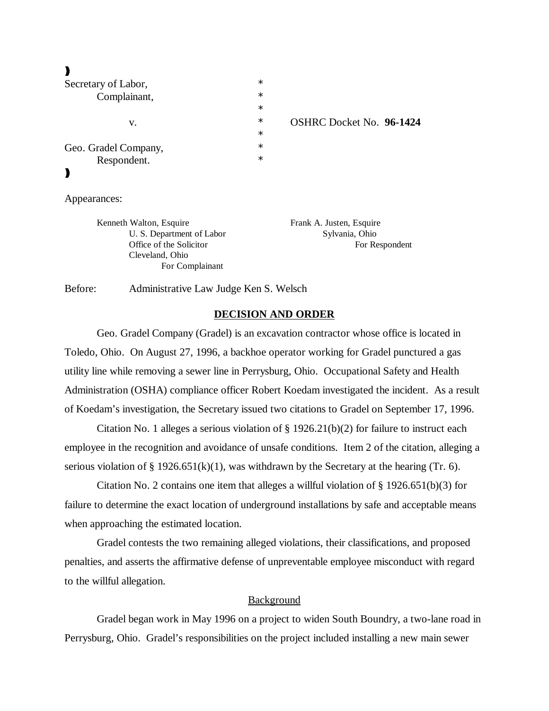# $\blacktriangleright$

| Secretary of Labor,  | $\ast$ |                                 |
|----------------------|--------|---------------------------------|
| Complainant,         | $\ast$ |                                 |
|                      | $\ast$ |                                 |
| v.                   | $\ast$ | <b>OSHRC Docket No. 96-1424</b> |
|                      | $\ast$ |                                 |
| Geo. Gradel Company, | $\ast$ |                                 |
| Respondent.          | $\ast$ |                                 |
|                      |        |                                 |
|                      |        |                                 |

Appearances:

Kenneth Walton, Esquire Frank A. Justen, Esquire U. S. Department of Labor Sylvania, Ohio Cleveland, Ohio For Complainant

Office of the Solicitor For Respondent

Before: Administrative Law Judge Ken S. Welsch

## **DECISION AND ORDER**

Geo. Gradel Company (Gradel) is an excavation contractor whose office is located in Toledo, Ohio. On August 27, 1996, a backhoe operator working for Gradel punctured a gas utility line while removing a sewer line in Perrysburg, Ohio. Occupational Safety and Health Administration (OSHA) compliance officer Robert Koedam investigated the incident. As a result of Koedam's investigation, the Secretary issued two citations to Gradel on September 17, 1996.

Citation No. 1 alleges a serious violation of  $\S 1926.21(b)(2)$  for failure to instruct each employee in the recognition and avoidance of unsafe conditions. Item 2 of the citation, alleging a serious violation of § 1926.651(k)(1), was withdrawn by the Secretary at the hearing (Tr. 6).

Citation No. 2 contains one item that alleges a willful violation of  $\S 1926.651(b)(3)$  for failure to determine the exact location of underground installations by safe and acceptable means when approaching the estimated location.

Gradel contests the two remaining alleged violations, their classifications, and proposed penalties, and asserts the affirmative defense of unpreventable employee misconduct with regard to the willful allegation.

## Background

Gradel began work in May 1996 on a project to widen South Boundry, a two-lane road in Perrysburg, Ohio. Gradel's responsibilities on the project included installing a new main sewer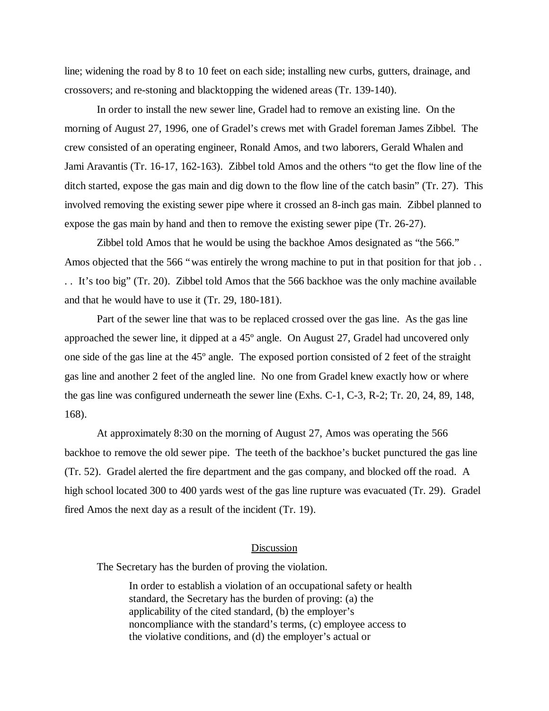line; widening the road by 8 to 10 feet on each side; installing new curbs, gutters, drainage, and crossovers; and re-stoning and blacktopping the widened areas (Tr. 139-140).

In order to install the new sewer line, Gradel had to remove an existing line. On the morning of August 27, 1996, one of Gradel's crews met with Gradel foreman James Zibbel. The crew consisted of an operating engineer, Ronald Amos, and two laborers, Gerald Whalen and Jami Aravantis (Tr. 16-17, 162-163). Zibbel told Amos and the others "to get the flow line of the ditch started, expose the gas main and dig down to the flow line of the catch basin" (Tr. 27). This involved removing the existing sewer pipe where it crossed an 8-inch gas main. Zibbel planned to expose the gas main by hand and then to remove the existing sewer pipe (Tr. 26-27).

Zibbel told Amos that he would be using the backhoe Amos designated as "the 566." Amos objected that the 566 "was entirely the wrong machine to put in that position for that job... . . It's too big" (Tr. 20). Zibbel told Amos that the 566 backhoe was the only machine available and that he would have to use it (Tr. 29, 180-181).

Part of the sewer line that was to be replaced crossed over the gas line. As the gas line approached the sewer line, it dipped at a 45º angle. On August 27, Gradel had uncovered only one side of the gas line at the 45º angle. The exposed portion consisted of 2 feet of the straight gas line and another 2 feet of the angled line. No one from Gradel knew exactly how or where the gas line was configured underneath the sewer line (Exhs. C-1, C-3, R-2; Tr. 20, 24, 89, 148, 168).

At approximately 8:30 on the morning of August 27, Amos was operating the 566 backhoe to remove the old sewer pipe. The teeth of the backhoe's bucket punctured the gas line (Tr. 52). Gradel alerted the fire department and the gas company, and blocked off the road. A high school located 300 to 400 yards west of the gas line rupture was evacuated (Tr. 29). Gradel fired Amos the next day as a result of the incident (Tr. 19).

#### Discussion

The Secretary has the burden of proving the violation.

In order to establish a violation of an occupational safety or health standard, the Secretary has the burden of proving: (a) the applicability of the cited standard, (b) the employer's noncompliance with the standard's terms, (c) employee access to the violative conditions, and (d) the employer's actual or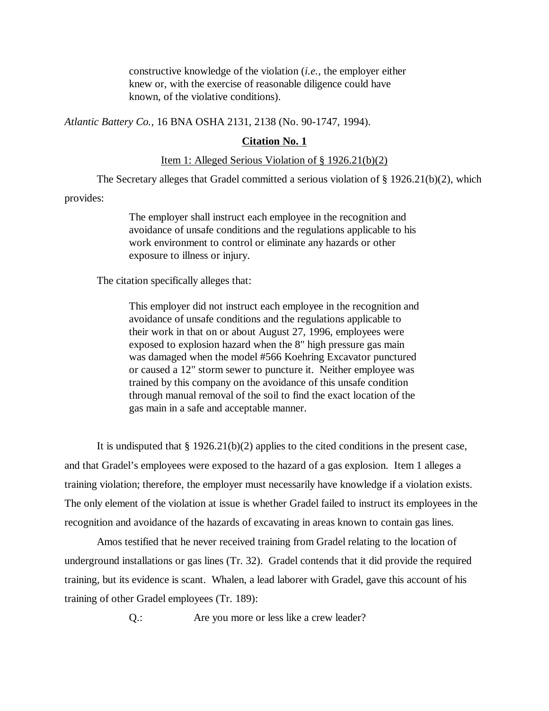constructive knowledge of the violation (*i.e.,* the employer either knew or, with the exercise of reasonable diligence could have known, of the violative conditions).

*Atlantic Battery Co.,* 16 BNA OSHA 2131, 2138 (No. 90-1747, 1994).

#### **Citation No. 1**

### Item 1: Alleged Serious Violation of § 1926.21(b)(2)

The Secretary alleges that Gradel committed a serious violation of § 1926.21(b)(2), which

provides:

The employer shall instruct each employee in the recognition and avoidance of unsafe conditions and the regulations applicable to his work environment to control or eliminate any hazards or other exposure to illness or injury.

The citation specifically alleges that:

This employer did not instruct each employee in the recognition and avoidance of unsafe conditions and the regulations applicable to their work in that on or about August 27, 1996, employees were exposed to explosion hazard when the 8" high pressure gas main was damaged when the model #566 Koehring Excavator punctured or caused a 12" storm sewer to puncture it. Neither employee was trained by this company on the avoidance of this unsafe condition through manual removal of the soil to find the exact location of the gas main in a safe and acceptable manner.

It is undisputed that  $\S 1926.21(b)(2)$  applies to the cited conditions in the present case, and that Gradel's employees were exposed to the hazard of a gas explosion. Item 1 alleges a training violation; therefore, the employer must necessarily have knowledge if a violation exists. The only element of the violation at issue is whether Gradel failed to instruct its employees in the recognition and avoidance of the hazards of excavating in areas known to contain gas lines.

Amos testified that he never received training from Gradel relating to the location of underground installations or gas lines (Tr. 32). Gradel contends that it did provide the required training, but its evidence is scant. Whalen, a lead laborer with Gradel, gave this account of his training of other Gradel employees (Tr. 189):

Q.: Are you more or less like a crew leader?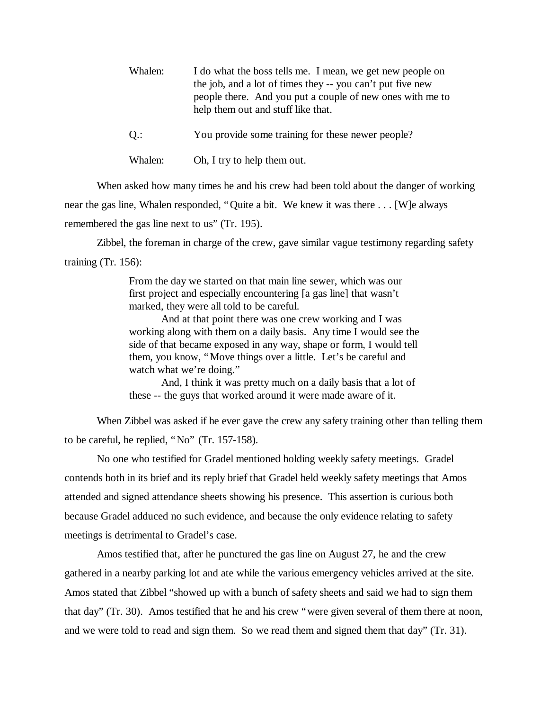| Whalen: | I do what the boss tells me. I mean, we get new people on<br>the job, and a lot of times they -- you can't put five new<br>people there. And you put a couple of new ones with me to<br>help them out and stuff like that. |
|---------|----------------------------------------------------------------------------------------------------------------------------------------------------------------------------------------------------------------------------|
| $Q$ .:  | You provide some training for these newer people?                                                                                                                                                                          |

When asked how many times he and his crew had been told about the danger of working near the gas line, Whalen responded, "Quite a bit. We knew it was there . . . [W]e always

Whalen: Oh, I try to help them out.

remembered the gas line next to us" (Tr. 195).

Zibbel, the foreman in charge of the crew, gave similar vague testimony regarding safety training (Tr. 156):

> From the day we started on that main line sewer, which was our first project and especially encountering [a gas line] that wasn't marked, they were all told to be careful.

And at that point there was one crew working and I was working along with them on a daily basis. Any time I would see the side of that became exposed in any way, shape or form, I would tell them, you know, "Move things over a little. Let's be careful and watch what we're doing."

And, I think it was pretty much on a daily basis that a lot of these -- the guys that worked around it were made aware of it.

When Zibbel was asked if he ever gave the crew any safety training other than telling them to be careful, he replied, "No" (Tr. 157-158).

No one who testified for Gradel mentioned holding weekly safety meetings. Gradel contends both in its brief and its reply brief that Gradel held weekly safety meetings that Amos attended and signed attendance sheets showing his presence. This assertion is curious both because Gradel adduced no such evidence, and because the only evidence relating to safety meetings is detrimental to Gradel's case.

Amos testified that, after he punctured the gas line on August 27, he and the crew gathered in a nearby parking lot and ate while the various emergency vehicles arrived at the site. Amos stated that Zibbel "showed up with a bunch of safety sheets and said we had to sign them that day" (Tr. 30). Amos testified that he and his crew "were given several of them there at noon, and we were told to read and sign them. So we read them and signed them that day" (Tr. 31).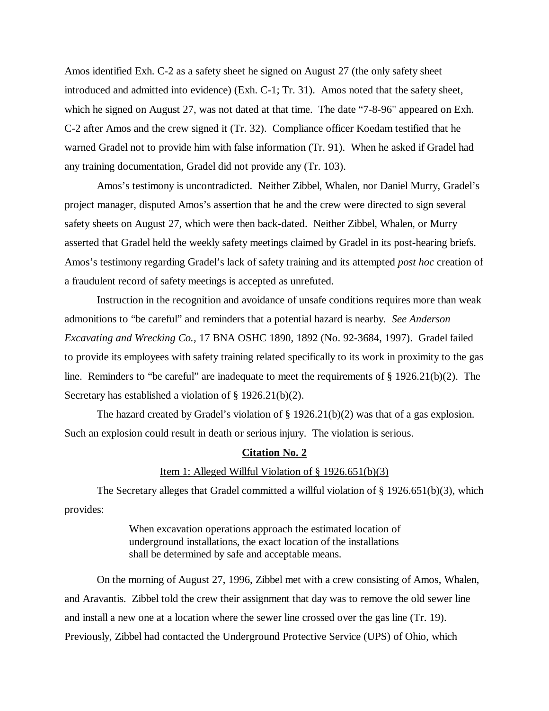Amos identified Exh. C-2 as a safety sheet he signed on August 27 (the only safety sheet introduced and admitted into evidence) (Exh. C-1; Tr. 31). Amos noted that the safety sheet, which he signed on August 27, was not dated at that time. The date "7-8-96" appeared on Exh. C-2 after Amos and the crew signed it (Tr. 32). Compliance officer Koedam testified that he warned Gradel not to provide him with false information (Tr. 91). When he asked if Gradel had any training documentation, Gradel did not provide any (Tr. 103).

Amos's testimony is uncontradicted. Neither Zibbel, Whalen, nor Daniel Murry, Gradel's project manager, disputed Amos's assertion that he and the crew were directed to sign several safety sheets on August 27, which were then back-dated. Neither Zibbel, Whalen, or Murry asserted that Gradel held the weekly safety meetings claimed by Gradel in its post-hearing briefs. Amos's testimony regarding Gradel's lack of safety training and its attempted *post hoc* creation of a fraudulent record of safety meetings is accepted as unrefuted.

Instruction in the recognition and avoidance of unsafe conditions requires more than weak admonitions to "be careful" and reminders that a potential hazard is nearby. *See Anderson Excavating and Wrecking Co.,* 17 BNA OSHC 1890, 1892 (No. 92-3684, 1997). Gradel failed to provide its employees with safety training related specifically to its work in proximity to the gas line. Reminders to "be careful" are inadequate to meet the requirements of § 1926.21(b)(2). The Secretary has established a violation of § 1926.21(b)(2).

The hazard created by Gradel's violation of  $\S 1926.21(b)(2)$  was that of a gas explosion. Such an explosion could result in death or serious injury. The violation is serious.

#### **Citation No. 2**

#### Item 1: Alleged Willful Violation of § 1926.651(b)(3)

The Secretary alleges that Gradel committed a willful violation of § 1926.651(b)(3), which provides:

> When excavation operations approach the estimated location of underground installations, the exact location of the installations shall be determined by safe and acceptable means.

On the morning of August 27, 1996, Zibbel met with a crew consisting of Amos, Whalen, and Aravantis. Zibbel told the crew their assignment that day was to remove the old sewer line and install a new one at a location where the sewer line crossed over the gas line (Tr. 19). Previously, Zibbel had contacted the Underground Protective Service (UPS) of Ohio, which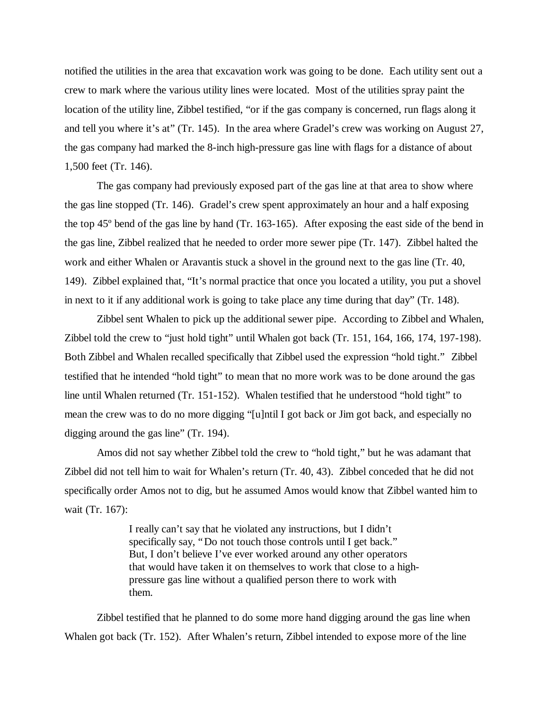notified the utilities in the area that excavation work was going to be done. Each utility sent out a crew to mark where the various utility lines were located. Most of the utilities spray paint the location of the utility line, Zibbel testified, "or if the gas company is concerned, run flags along it and tell you where it's at" (Tr. 145). In the area where Gradel's crew was working on August 27, the gas company had marked the 8-inch high-pressure gas line with flags for a distance of about 1,500 feet (Tr. 146).

The gas company had previously exposed part of the gas line at that area to show where the gas line stopped (Tr. 146). Gradel's crew spent approximately an hour and a half exposing the top 45º bend of the gas line by hand (Tr. 163-165). After exposing the east side of the bend in the gas line, Zibbel realized that he needed to order more sewer pipe (Tr. 147). Zibbel halted the work and either Whalen or Aravantis stuck a shovel in the ground next to the gas line (Tr. 40, 149). Zibbel explained that, "It's normal practice that once you located a utility, you put a shovel in next to it if any additional work is going to take place any time during that day" (Tr. 148).

Zibbel sent Whalen to pick up the additional sewer pipe. According to Zibbel and Whalen, Zibbel told the crew to "just hold tight" until Whalen got back (Tr. 151, 164, 166, 174, 197-198). Both Zibbel and Whalen recalled specifically that Zibbel used the expression "hold tight." Zibbel testified that he intended "hold tight" to mean that no more work was to be done around the gas line until Whalen returned (Tr. 151-152). Whalen testified that he understood "hold tight" to mean the crew was to do no more digging "[u]ntil I got back or Jim got back, and especially no digging around the gas line" (Tr. 194).

Amos did not say whether Zibbel told the crew to "hold tight," but he was adamant that Zibbel did not tell him to wait for Whalen's return (Tr. 40, 43). Zibbel conceded that he did not specifically order Amos not to dig, but he assumed Amos would know that Zibbel wanted him to wait (Tr. 167):

> I really can't say that he violated any instructions, but I didn't specifically say, "Do not touch those controls until I get back." But, I don't believe I've ever worked around any other operators that would have taken it on themselves to work that close to a highpressure gas line without a qualified person there to work with them.

Zibbel testified that he planned to do some more hand digging around the gas line when Whalen got back (Tr. 152). After Whalen's return, Zibbel intended to expose more of the line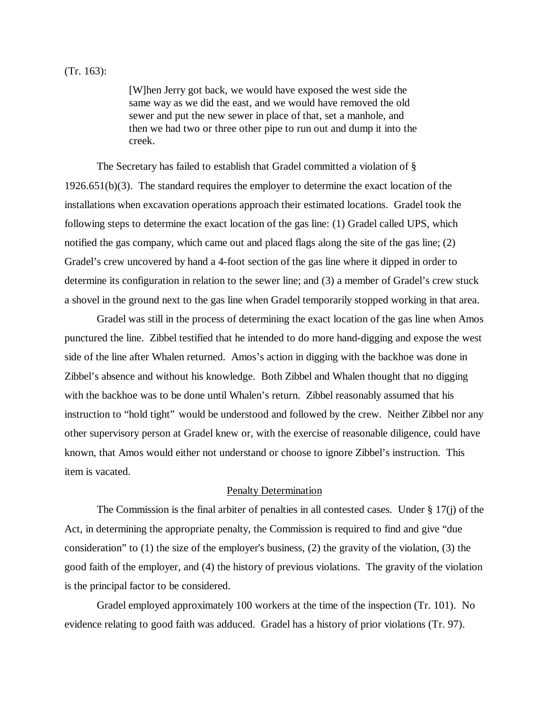[W]hen Jerry got back, we would have exposed the west side the same way as we did the east, and we would have removed the old sewer and put the new sewer in place of that, set a manhole, and then we had two or three other pipe to run out and dump it into the creek.

The Secretary has failed to establish that Gradel committed a violation of § 1926.651(b)(3). The standard requires the employer to determine the exact location of the installations when excavation operations approach their estimated locations. Gradel took the following steps to determine the exact location of the gas line: (1) Gradel called UPS, which notified the gas company, which came out and placed flags along the site of the gas line; (2) Gradel's crew uncovered by hand a 4-foot section of the gas line where it dipped in order to determine its configuration in relation to the sewer line; and (3) a member of Gradel's crew stuck a shovel in the ground next to the gas line when Gradel temporarily stopped working in that area.

Gradel was still in the process of determining the exact location of the gas line when Amos punctured the line. Zibbel testified that he intended to do more hand-digging and expose the west side of the line after Whalen returned. Amos's action in digging with the backhoe was done in Zibbel's absence and without his knowledge. Both Zibbel and Whalen thought that no digging with the backhoe was to be done until Whalen's return. Zibbel reasonably assumed that his instruction to "hold tight" would be understood and followed by the crew. Neither Zibbel nor any other supervisory person at Gradel knew or, with the exercise of reasonable diligence, could have known, that Amos would either not understand or choose to ignore Zibbel's instruction. This item is vacated.

#### Penalty Determination

The Commission is the final arbiter of penalties in all contested cases. Under  $\S 17(i)$  of the Act, in determining the appropriate penalty, the Commission is required to find and give "due consideration" to (1) the size of the employer's business, (2) the gravity of the violation, (3) the good faith of the employer, and (4) the history of previous violations. The gravity of the violation is the principal factor to be considered.

Gradel employed approximately 100 workers at the time of the inspection (Tr. 101). No evidence relating to good faith was adduced. Gradel has a history of prior violations (Tr. 97).